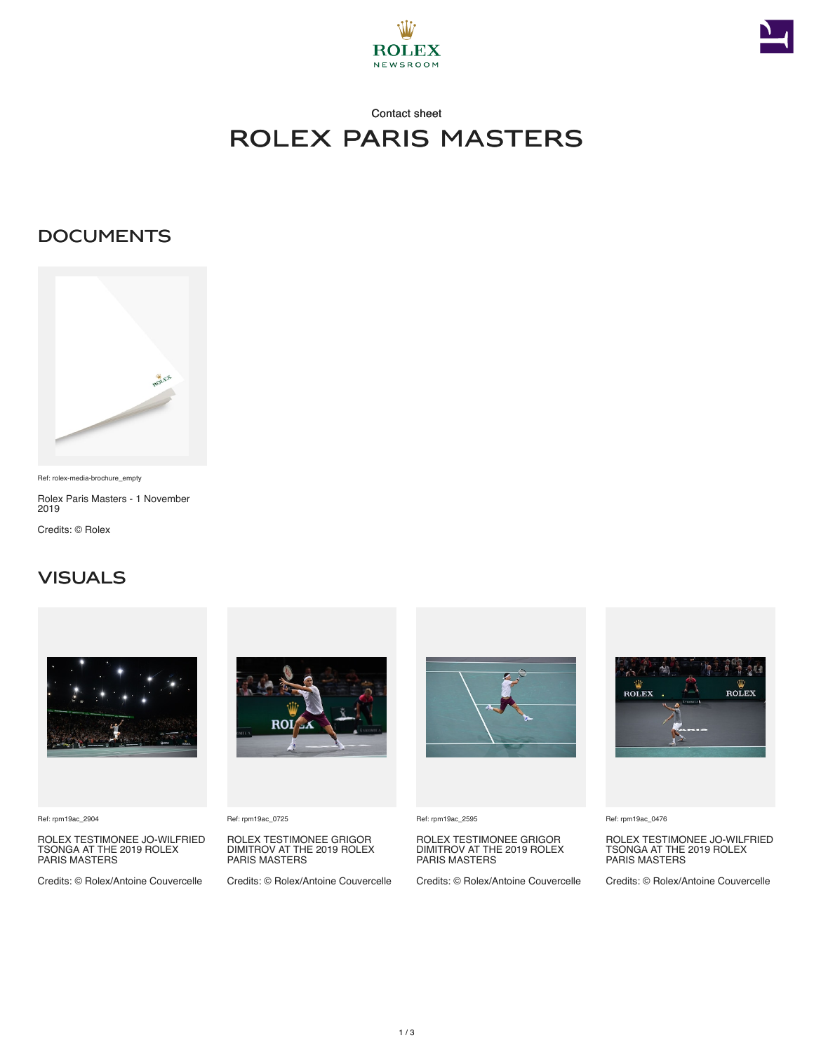



## Contact sheet rolex paris masters

#### **DOCUMENTS**



Ref: rolex-media-brochure\_empty

Rolex Paris Masters - 1 November 2019

Credits: © Rolex

#### **VISUALS**



Ref: rpm19ac\_2904

ROLEX TESTIMONEE JO-WILFRIED TSONGA AT THE 2019 ROLEX PARIS MASTERS

Credits: © Rolex/Antoine Couvercelle



Ref: rpm19ac\_0725

ROLEX TESTIMONEE GRIGOR DIMITROV AT THE 2019 ROLEX PARIS MASTERS

Credits: © Rolex/Antoine Couvercelle



Ref: rpm19ac\_2595

ROLEX TESTIMONEE GRIGOR DIMITROV AT THE 2019 ROLEX PARIS MASTERS

Credits: © Rolex/Antoine Couvercelle



Ref: rpm19ac\_0476

ROLEX TESTIMONEE JO-WILFRIED TSONGA AT THE 2019 ROLEX PARIS MASTERS

Credits: © Rolex/Antoine Couvercelle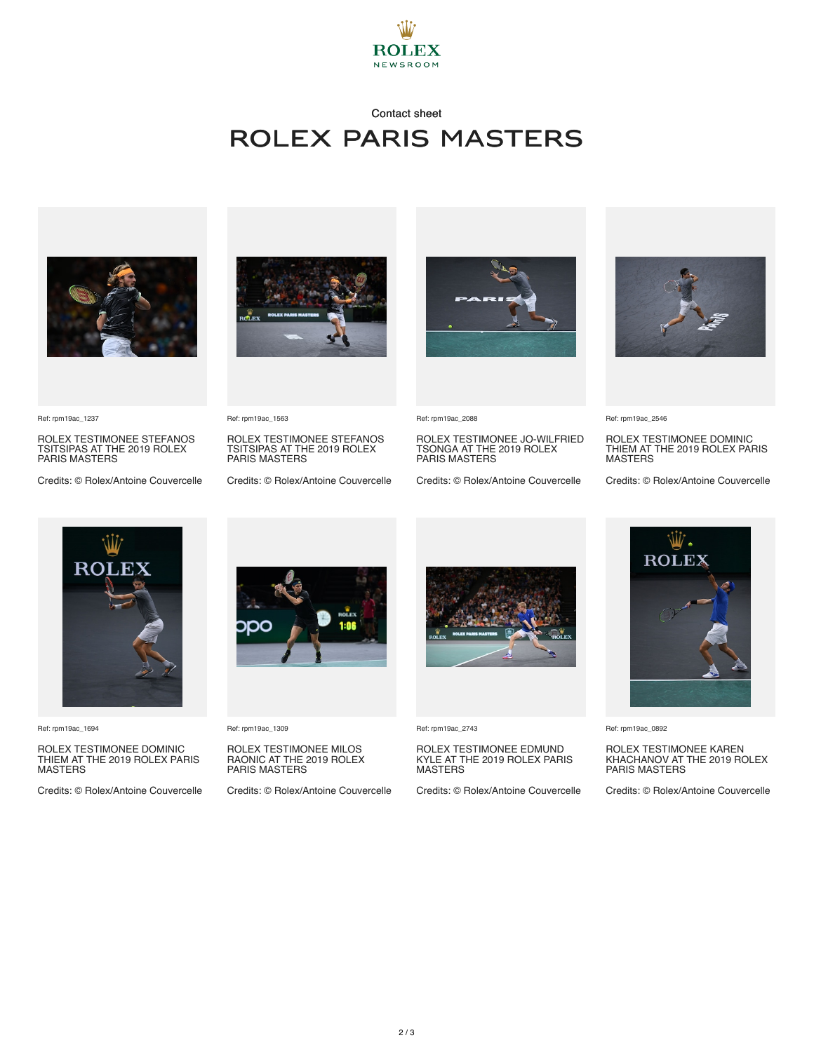

## Contact sheet rolex paris masters





ROLEX TESTIMONEE STEFANOS TSITSIPAS AT THE 2019 ROLEX PARIS MASTERS

Credits: © Rolex/Antoine Couvercelle



Ref: rpm19ac\_1563

ROLEX TESTIMONEE STEFANOS TSITSIPAS AT THE 2019 ROLEX PARIS MASTERS

Credits: © Rolex/Antoine Couvercelle



Ref: rpm19ac\_2088

ROLEX TESTIMONEE JO-WILFRIED TSONGA AT THE 2019 ROLEX PARIS MASTERS

Credits: © Rolex/Antoine Couvercelle



Ref: rpm19ac\_2546

ROLEX TESTIMONEE DOMINIC THIEM AT THE 2019 ROLEX PARIS **MASTERS** 

Credits: © Rolex/Antoine Couvercelle



Ref: rpm19ac\_1694

ROLEX TESTIMONEE DOMINIC THIEM AT THE 2019 ROLEX PARIS MASTERS

Credits: © Rolex/Antoine Couvercelle



Ref: rpm19ac\_1309

ROLEX TESTIMONEE MILOS RAONIC AT THE 2019 ROLEX PARIS MASTERS

Credits: © Rolex/Antoine Couvercelle



Ref: rpm19ac\_2743

# ROLEX TESTIMONEE EDMUND KYLE AT THE 2019 ROLEX PARIS MASTERS

Credits: © Rolex/Antoine Couvercelle

**ROLEX** 

Ref: rpm19ac\_0892

ROLEX TESTIMONEE KAREN KHACHANOV AT THE 2019 ROLEX PARIS MASTERS

Credits: © Rolex/Antoine Couvercelle